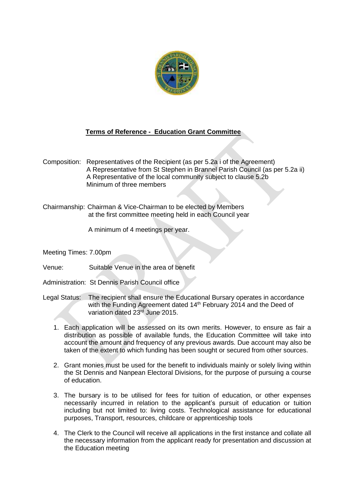

## **Terms of Reference - Education Grant Committee**

Composition: Representatives of the Recipient (as per 5.2a i of the Agreement) A Representative from St Stephen in Brannel Parish Council (as per 5.2a ii) A Representative of the local community subject to clause 5.2b Minimum of three members

Chairmanship: Chairman & Vice-Chairman to be elected by Members at the first committee meeting held in each Council year

A minimum of 4 meetings per year.

Meeting Times: 7.00pm

Venue: Suitable Venue in the area of benefit

Administration: St Dennis Parish Council office

- Legal Status: The recipient shall ensure the Educational Bursary operates in accordance with the Funding Agreement dated 14<sup>th</sup> February 2014 and the Deed of variation dated 23rd June 2015.
	- 1. Each application will be assessed on its own merits. However, to ensure as fair a distribution as possible of available funds, the Education Committee will take into account the amount and frequency of any previous awards. Due account may also be taken of the extent to which funding has been sought or secured from other sources.
	- 2. Grant monies must be used for the benefit to individuals mainly or solely living within the St Dennis and Nanpean Electoral Divisions, for the purpose of pursuing a course of education.
	- 3. The bursary is to be utilised for fees for tuition of education, or other expenses necessarily incurred in relation to the applicant's pursuit of education or tuition including but not limited to: living costs. Technological assistance for educational purposes, Transport, resources, childcare or apprenticeship tools
	- 4. The Clerk to the Council will receive all applications in the first instance and collate all the necessary information from the applicant ready for presentation and discussion at the Education meeting